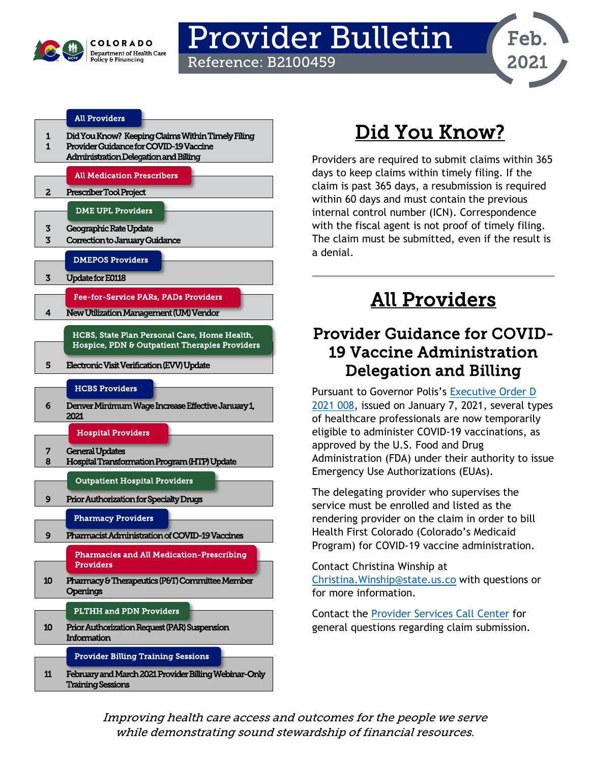

## Provider Bulletin Reference: B2100459

#### [All Providers](#page-0-2)

- [1 Did You Know?](#page-0-0) Keeping Claims Within Timely Filing
- $\frac{1}{2}$   $\frac{1}{2}$   $\frac{1}{2}$   $\frac{1}{2}$   $\frac{1}{2}$   $\frac{1}{2}$   $\frac{1}{2}$   $\frac{1}{2}$   $\frac{1}{2}$   $\frac{1}{2}$   $\frac{1}{2}$   $\frac{1}{2}$   $\frac{1}{2}$   $\frac{1}{2}$   $\frac{1}{2}$   $\frac{1}{2}$   $\frac{1}{2}$   $\frac{1}{2}$   $\frac{1}{2}$   $\frac{1}{2}$   $\frac{1}{2}$   $\frac{1}{2}$

| Administration Delegation and Billing         |
|-----------------------------------------------|
| <b>All Medication Prescribers</b>             |
| Prescriber Tool Project                       |
| <b>DME UPL Providers</b>                      |
| Geographic Rate Update                        |
| Correction to January Guidance                |
| <b>DMEPOS Providers</b>                       |
| Update for E0118                              |
| <b>Fee-for-Service PARs, PADs Providers</b>   |
| New Utilization Management (UM) Vendor        |
| HCBS, State Plan Personal Care, Home Health,  |
| Hospice, PDN & Outpatient Therapies Providers |
|                                               |
|                                               |

#### [HCBS Providers](#page-5-1)

[6 Denver Minimum Wage Increase Effective January 1,](#page-5-0)  [2021](#page-5-0) 

[Hospital Providers](#page-6-1) 



[Outpatient Hospital Providers](#page-8-2) 

[9 Prior Authorization for Specialty Drugs](#page-8-0) 

#### [Pharmacy Providers](#page-8-3)

[9 Pharmacist Administration of COVID-19 Vaccines](#page-8-1) 

[Pharmacies and All Medication-Prescribing](#page-9-2)  [Providers](#page-9-2) 

[10 Pharmacy & Therapeutics \(P&T\) Committee Member](#page-9-0)  **Openings** 

#### [PLTHH and PDN Providers](#page-9-3)

[10 Prior Authorization Request \(PAR\) Suspension](#page-9-1)  **Information** 

[Provider Billing Training Sessions](#page-10-1) 

[11 February and March 2021 Provider Billing Webinar-Only](#page-10-0)  [Training Sessions](#page-10-0) 

# Did You Know?

Feb.

2021

<span id="page-0-0"></span>Providers are required to submit claims within 365 days to keep claims within timely filing. If the claim is past 365 days, a resubmission is required within 60 days and must contain the previous internal control number (ICN). Correspondence with the fiscal agent is not proof of timely filing. The claim must be submitted, even if the result is a denial.

## All Providers

### <span id="page-0-2"></span><span id="page-0-1"></span>Provider Guidance for COVID-19 Vaccine Administration Delegation and Billing

Pursuant to Governor Polis's [Executive Order D](https://drive.google.com/file/d/17I0tXNEPlzEeX6jk-PH1h86JGFxAXIio/view)  [2021 008,](https://drive.google.com/file/d/17I0tXNEPlzEeX6jk-PH1h86JGFxAXIio/view) issued on January 7, 2021, several types of healthcare professionals are now temporarily eligible to administer COVID-19 vaccinations, as approved by the U.S. Food and Drug Administration (FDA) under their authority to issue Emergency Use Authorizations (EUAs).

The delegating provider who supervises the service must be enrolled and listed as the rendering provider on the claim in order to bill Health First Colorado (Colorado's Medicaid Program) for COVID-19 vaccine administration.

Contact Christina Winship at [Christina.Winship@state.us.co](mailto:Christina.Winship@state.us.co) with questions or for more information.

Contact the [Provider Services Call Center](https://www.colorado.gov/hcpf/provider-help) for general questions regarding claim submission.

Improving health care access and outcomes for the people we serve while demonstrating sound stewardship of financial resources.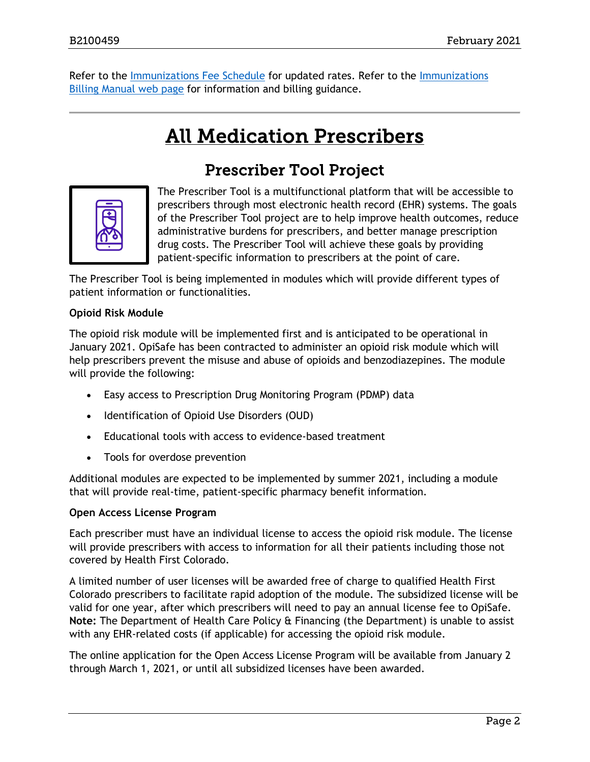<span id="page-1-1"></span>Refer to the [Immunizations Fee Schedule](https://www.colorado.gov/pacific/hcpf/provider-rates-fee-schedule#immunization) for updated rates. Refer to the [Immunizations](https://www.colorado.gov/pacific/hcpf/immunizations-billing-manual)  [Billing Manual web page](https://www.colorado.gov/pacific/hcpf/immunizations-billing-manual) for information and billing guidance.

## **All Medication Prescribers**

### Prescriber Tool Project

<span id="page-1-0"></span>

The Prescriber Tool is a multifunctional platform that will be accessible to prescribers through most electronic health record (EHR) systems. The goals of the Prescriber Tool project are to help improve health outcomes, reduce administrative burdens for prescribers, and better manage prescription drug costs. The Prescriber Tool will achieve these goals by providing patient-specific information to prescribers at the point of care.

The Prescriber Tool is being implemented in modules which will provide different types of patient information or functionalities.

#### **Opioid Risk Module**

The opioid risk module will be implemented first and is anticipated to be operational in January 2021. OpiSafe has been contracted to administer an opioid risk module which will help prescribers prevent the misuse and abuse of opioids and benzodiazepines. The module will provide the following:

- Easy access to Prescription Drug Monitoring Program (PDMP) data
- Identification of Opioid Use Disorders (OUD)
- Educational tools with access to evidence-based treatment
- Tools for overdose prevention

Additional modules are expected to be implemented by summer 2021, including a module that will provide real-time, patient-specific pharmacy benefit information.

#### **Open Access License Program**

Each prescriber must have an individual license to access the opioid risk module. The license will provide prescribers with access to information for all their patients including those not covered by Health First Colorado.

A limited number of user licenses will be awarded free of charge to qualified Health First Colorado prescribers to facilitate rapid adoption of the module. The subsidized license will be valid for one year, after which prescribers will need to pay an annual license fee to OpiSafe. **Note:** The Department of Health Care Policy & Financing (the Department) is unable to assist with any EHR-related costs (if applicable) for accessing the opioid risk module.

The online application for the Open Access License Program will be available from January 2 through March 1, 2021, or until all subsidized licenses have been awarded.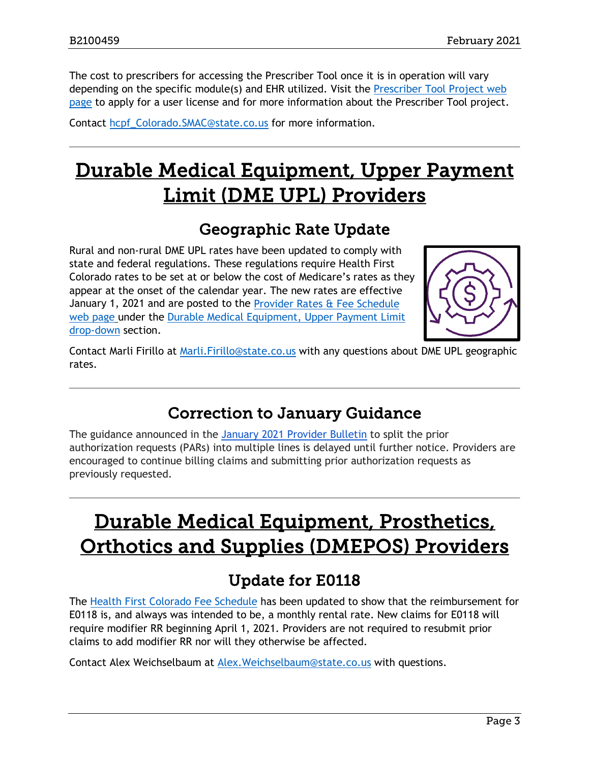The cost to prescribers for accessing the Prescriber Tool once it is in operation will vary depending on the specific module(s) and EHR utilized. Visit the [Prescriber Tool Project web](https://www.colorado.gov/pacific/hcpf/prescriber-tool-project)  [page](https://www.colorado.gov/pacific/hcpf/prescriber-tool-project) to apply for a user license and for more information about the Prescriber Tool project.

Contact [hcpf\\_Colorado.SMAC@state.co.us](mailto:hcpf_Colorado.SMAC@state.co.us) for more information.

# <span id="page-2-3"></span>Durable Medical Equipment, Upper Payment Limit (DME UPL) Providers

### Geographic Rate Update

<span id="page-2-0"></span>Rural and non-rural DME UPL rates have been updated to comply with state and federal regulations. These regulations require Health First Colorado rates to be set at or below the cost of Medicare's rates as they appear at the onset of the calendar year. The new rates are effective January 1, 2021 and are posted to the [Provider Rates & Fee Schedule](https://www.colorado.gov/hcpf/provider-rates-fee-schedule)  [web page](https://www.colorado.gov/hcpf/provider-rates-fee-schedule) under the [Durable Medical Equipment, Upper Payment Limit](https://www.colorado.gov/pacific/hcpf/provider-rates-fee-schedule#dmeupl)  [drop-down](https://www.colorado.gov/pacific/hcpf/provider-rates-fee-schedule#dmeupl) section.



Contact Marli Firillo at [Marli.Firillo@state.co.us](mailto:Marli.Firillo@state.co.us) with any questions about DME UPL geographic rates.

### Correction to January Guidance

<span id="page-2-1"></span>The guidance announced in the [January 2021 Provider Bulletin](https://urldefense.proofpoint.com/v2/url?u=https-3A__www.colorado.gov_pacific_sites_default_files_Bulletin-5F0121-5FB2100457.pdf&d=DwMFaQ&c=sdnEM9SRGFuMt5z5w3AhsPNahmNicq64TgF1JwNR0cs&r=pKQ04blwZ3OqO4sX1UXKr5khoIvyZFJNHNnWTIiSKWk&m=NqvZ29Bp-df7EW74T9arozseXkwFyTqtpwWlczbg-B4&s=vA0RXMhFQqLjU2hTneFDB-Ms-FkuzAl9923okBAmv7c&e=) to split the prior authorization requests (PARs) into multiple lines is delayed until further notice. Providers are encouraged to continue billing claims and submitting prior authorization requests as previously requested.

## <span id="page-2-4"></span>Durable Medical Equipment, Prosthetics, Orthotics and Supplies (DMEPOS) Providers

### Update for E0118

<span id="page-2-2"></span>The [Health First Colorado Fee Schedule](https://www.colorado.gov/pacific/hcpf/provider-rates-fee-schedule#MedicaidFeeSchedules) has been updated to show that the reimbursement for E0118 is, and always was intended to be, a monthly rental rate. New claims for E0118 will require modifier RR beginning April 1, 2021. Providers are not required to resubmit prior claims to add modifier RR nor will they otherwise be affected.

Contact Alex Weichselbaum at [Alex.Weichselbaum@state.co.us](mailto:Alex.Weichselbaum@state.co.us) with questions.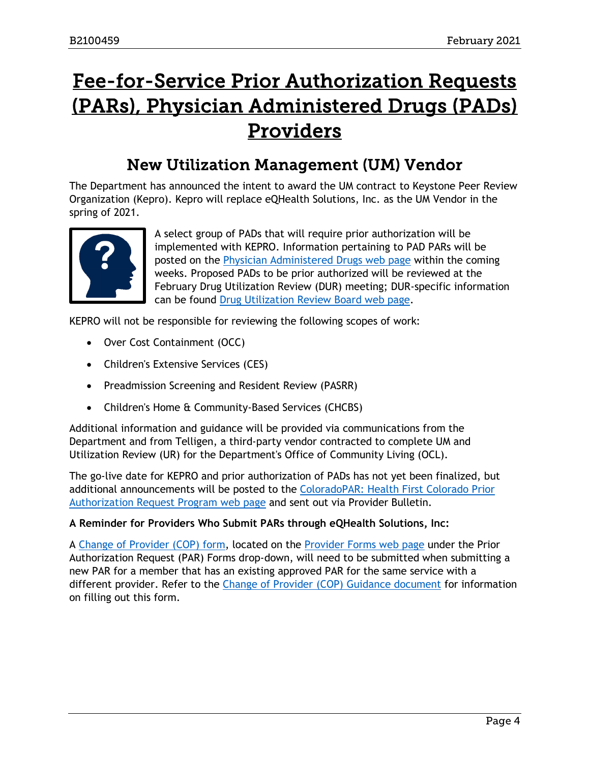## <span id="page-3-1"></span>Fee-for-Service Prior Authorization Requests (PARs), Physician Administered Drugs (PADs) Providers

### New Utilization Management (UM) Vendor

<span id="page-3-0"></span>The Department has announced the intent to award the UM contract to Keystone Peer Review Organization (Kepro). Kepro will replace eQHealth Solutions, Inc. as the UM Vendor in the spring of 2021.



A select group of PADs that will require prior authorization will be implemented with KEPRO. Information pertaining to PAD PARs will be posted on the [Physician Administered Drugs web page](https://www.colorado.gov/pacific/hcpf/physician-administered-drugs) within the coming weeks. Proposed PADs to be prior authorized will be reviewed at the February Drug Utilization Review (DUR) meeting; DUR-specific information can be found [Drug Utilization Review Board web page.](https://www.colorado.gov/hcpf/drug-utilization-review-board)

KEPRO will not be responsible for reviewing the following scopes of work:

- Over Cost Containment (OCC)
- Children's Extensive Services (CES)
- Preadmission Screening and Resident Review (PASRR)
- Children's Home & Community-Based Services (CHCBS)

Additional information and guidance will be provided via communications from the Department and from Telligen, a third-party vendor contracted to complete UM and Utilization Review (UR) for the Department's Office of Community Living (OCL).

The go-live date for KEPRO and prior authorization of PADs has not yet been finalized, but additional announcements will be posted to the [ColoradoPAR: Health First Colorado Prior](https://www.colorado.gov/hcpf/par)  [Authorization Request Program web page](https://www.colorado.gov/hcpf/par) and sent out via Provider Bulletin.

#### **A Reminder for Providers Who Submit PARs through eQHealth Solutions, Inc:**

A [Change of Provider \(COP\) form,](https://www.colorado.gov/pacific/sites/default/files/Change%20of%20Provider%20Form%20080219%20English.pdf) located on the [Provider Forms web page](https://www.colorado.gov/hcpf/provider-forms#PAR) under the Prior Authorization Request (PAR) Forms drop-down, will need to be submitted when submitting a new PAR for a member that has an existing approved PAR for the same service with a different provider. Refer to the [Change of Provider \(COP\) Guidance document](https://www.colorado.gov/pacific/sites/default/files/2021.How%20to%20Complete%20Change%20of%20Provider%20Form.pdf) for information on filling out this form.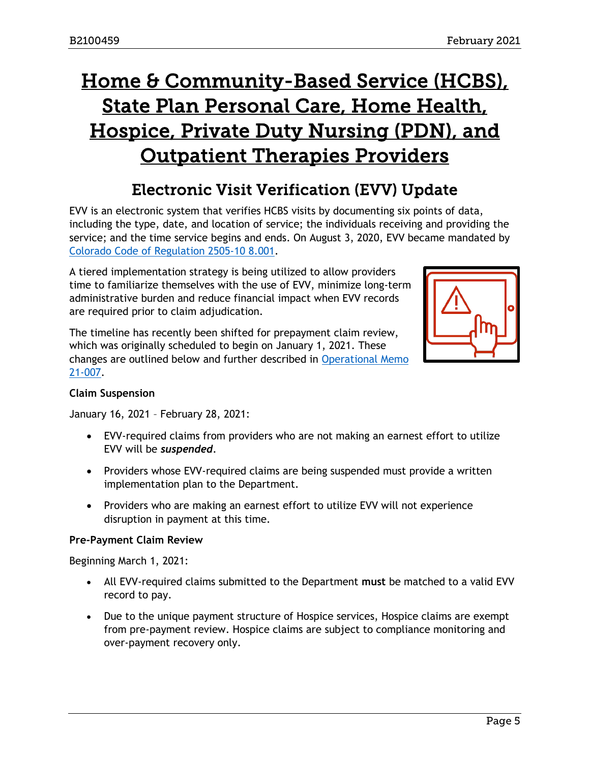# <span id="page-4-1"></span>Home & Community-Based Service (HCBS), State Plan Personal Care, Home Health, Hospice, Private Duty Nursing (PDN), and Outpatient Therapies Providers

### Electronic Visit Verification (EVV) Update

<span id="page-4-0"></span>EVV is an electronic system that verifies HCBS visits by documenting six points of data, including the type, date, and location of service; the individuals receiving and providing the service; and the time service begins and ends. On August 3, 2020, EVV became mandated by [Colorado Code of Regulation 2505-10 8.001.](https://www.sos.state.co.us/CCR/GenerateRulePdf.do?ruleVersionId=8988&fileName=10%20CCR%202505-10%208.000)

A tiered implementation strategy is being utilized to allow providers time to familiarize themselves with the use of EVV, minimize long-term administrative burden and reduce financial impact when EVV records are required prior to claim adjudication.

The timeline has recently been shifted for prepayment claim review, which was originally scheduled to begin on January 1, 2021. These changes are outlined below and further described in [Operational Memo](https://www.colorado.gov/pacific/sites/default/files/HCPF%20OM%2021-007%20Electronic%20Visit%20Verification%20%28EVV%29%20Timeline%20Update.pdf)  [21-007.](https://www.colorado.gov/pacific/sites/default/files/HCPF%20OM%2021-007%20Electronic%20Visit%20Verification%20%28EVV%29%20Timeline%20Update.pdf)



#### **Claim Suspension**

January 16, 2021 – February 28, 2021:

- EVV-required claims from providers who are not making an earnest effort to utilize EVV will be *suspended*.
- Providers whose EVV-required claims are being suspended must provide a written implementation plan to the Department.
- Providers who are making an earnest effort to utilize EVV will not experience disruption in payment at this time.

#### **Pre-Payment Claim Review**

Beginning March 1, 2021:

- All EVV-required claims submitted to the Department **must** be matched to a valid EVV record to pay.
- Due to the unique payment structure of Hospice services, Hospice claims are exempt from pre-payment review. Hospice claims are subject to compliance monitoring and over-payment recovery only.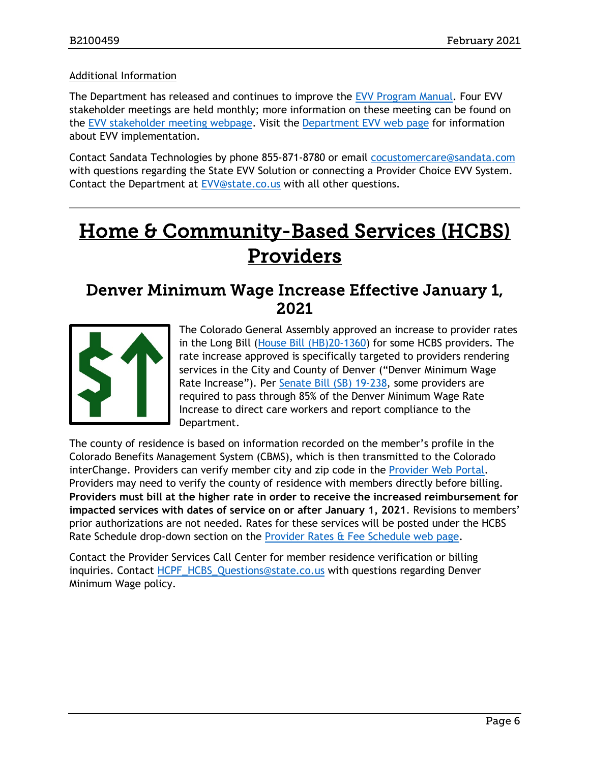#### Additional Information

The Department has released and continues to improve the [EVV Program Manual.](https://www.colorado.gov/hcpf/electronic-visit-verification-program-manual) Four EVV stakeholder meetings are held monthly; more information on these meeting can be found on the [EVV stakeholder meeting webpage.](https://www.colorado.gov/hcpf/electronic-visit-verification-stakeholder-workgroup) Visit the [Department EVV web](https://www.colorado.gov/hcpf/evv-main) page for information about EVV implementation.

Contact Sandata Technologies by phone 855-871-8780 or email [cocustomercare@sandata.com](mailto:cocustomercare@sandata.com) with questions regarding the State EVV Solution or connecting a Provider Choice EVV System. Contact the Department at **EVV@state.co.us** with all other questions.

# <span id="page-5-1"></span>Home & Community-Based Services (HCBS) Providers

### <span id="page-5-0"></span>Denver Minimum Wage Increase Effective January 1, 2021



The Colorado General Assembly approved an increase to provider rates in the Long Bill [\(House Bill \(HB\)20-1360\)](http://leg.colorado.gov/bills/hb20-1360) for some HCBS providers. The rate increase approved is specifically targeted to providers rendering services in the City and County of Denver ("Denver Minimum Wage Rate Increase"). Per [Senate Bill \(SB\) 19-238,](https://leg.colorado.gov/sites/default/files/2019a_238_signed.pdf) some providers are required to pass through 85% of the Denver Minimum Wage Rate Increase to direct care workers and report compliance to the Department.

The county of residence is based on information recorded on the member's profile in the Colorado Benefits Management System (CBMS), which is then transmitted to the Colorado interChange. Providers can verify member city and zip code in the [Provider Web Portal.](https://colorado-hcp-portal.xco.dcs-usps.com/hcp/provider/Home/tabid/135/Default.aspx) Providers may need to verify the county of residence with members directly before billing. **Providers must bill at the higher rate in order to receive the increased reimbursement for impacted services with dates of service on or after January 1, 2021**. Revisions to members' prior authorizations are not needed. Rates for these services will be posted under the HCBS Rate Schedule drop-down section on the [Provider Rates & Fee Schedule web page.](https://www.colorado.gov/pacific/hcpf/provider-rates-fee-schedule)

Contact the Provider Services Call Center for member residence verification or billing inquiries. Contact [HCPF\\_HCBS\\_Questions@state.co.us](mailto:HCPF_HCBS_Questions@state.co.us) with questions regarding Denver Minimum Wage policy.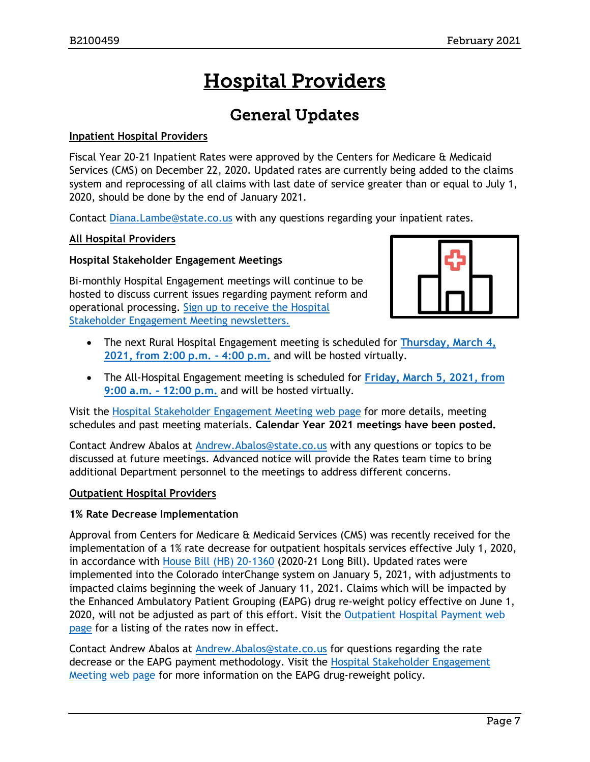# Hospital Providers

### General Updates

#### <span id="page-6-1"></span><span id="page-6-0"></span>**Inpatient Hospital Providers**

Fiscal Year 20-21 Inpatient Rates were approved by the Centers for Medicare & Medicaid Services (CMS) on December 22, 2020. Updated rates are currently being added to the claims system and reprocessing of all claims with last date of service greater than or equal to July 1, 2020, should be done by the end of January 2021.

Contact [Diana.Lambe@state.co.us](mailto:Diana.Lambe@state.co.us) with any questions regarding your inpatient rates.

#### **All Hospital Providers**

#### **Hospital Stakeholder Engagement Meetings**

Bi-monthly Hospital Engagement meetings will continue to be hosted to discuss current issues regarding payment reform and operational processing. [Sign up to receive the Hospital](https://visitor.r20.constantcontact.com/manage/optin?v=001HfxrbpGNWZ0lZnPp6t3PG2s9XPNl8ZvgFdjsKvSnhIy8z9JmHyp6DeoLJ3saT6x0SeqRR1ub149uoXxe1ok4jTzfMSQ0BN7S5vcLiRO7gdY%3D)  [Stakeholder Engagement Meeting newsletters.](https://visitor.r20.constantcontact.com/manage/optin?v=001HfxrbpGNWZ0lZnPp6t3PG2s9XPNl8ZvgFdjsKvSnhIy8z9JmHyp6DeoLJ3saT6x0SeqRR1ub149uoXxe1ok4jTzfMSQ0BN7S5vcLiRO7gdY%3D)



- The next Rural Hospital Engagement meeting is scheduled for **[Thursday, March 4,](https://www.colorado.gov/pacific/hcpf/rural-hospital-and-rural-health-clinics)  [2021, from 2:00 p.m. -](https://www.colorado.gov/pacific/hcpf/rural-hospital-and-rural-health-clinics) 4:00 p.m.** and will be hosted virtually.
- The All-Hospital Engagement meeting is scheduled for **Friday, [March 5, 2021, from](https://www.colorado.gov/pacific/hcpf/hospital-stakeholder-engagement-meetings)  [9:00 a.m. -](https://www.colorado.gov/pacific/hcpf/hospital-stakeholder-engagement-meetings) 12:00 p.m.** and will be hosted virtually.

Visit the [Hospital Stakeholder Engagement Meeting](https://www.colorado.gov/pacific/hcpf/hospital-stakeholder-engagement-meetings) web page for more details, meeting schedules and past meeting materials. **Calendar Year 2021 meetings have been posted.**

Contact Andrew Abalos at [Andrew.Abalos@state.co.us](mailto:Andrew.Abalos@state.co.us) with any questions or topics to be discussed at future meetings. Advanced notice will provide the Rates team time to bring additional Department personnel to the meetings to address different concerns.

#### **Outpatient Hospital Providers**

#### **1% Rate Decrease Implementation**

Approval from Centers for Medicare & Medicaid Services (CMS) was recently received for the implementation of a 1% rate decrease for outpatient hospitals services effective July 1, 2020, in accordance with [House Bill \(HB\) 20-1360](http://leg.colorado.gov/bills/hb20-1360) (2020-21 Long Bill). Updated rates were implemented into the Colorado interChange system on January 5, 2021, with adjustments to impacted claims beginning the week of January 11, 2021. Claims which will be impacted by the Enhanced Ambulatory Patient Grouping (EAPG) drug re-weight policy effective on June 1, 2020, will not be adjusted as part of this effort. Visit the Outpatient Hospital Payment web [page](https://www.colorado.gov/pacific/hcpf/outpatient-hospital-payment) for a listing of the rates now in effect.

Contact Andrew Abalos at [Andrew.Abalos@state.co.us](mailto:Andrew.Abalos@state.co.us) for questions regarding the rate decrease or the EAPG payment methodology. Visit the [Hospital Stakeholder Engagement](https://www.colorado.gov/pacific/hcpf/hospital-stakeholder-engagement-meetings)  [Meeting web page](https://www.colorado.gov/pacific/hcpf/hospital-stakeholder-engagement-meetings) for more information on the EAPG drug-reweight policy.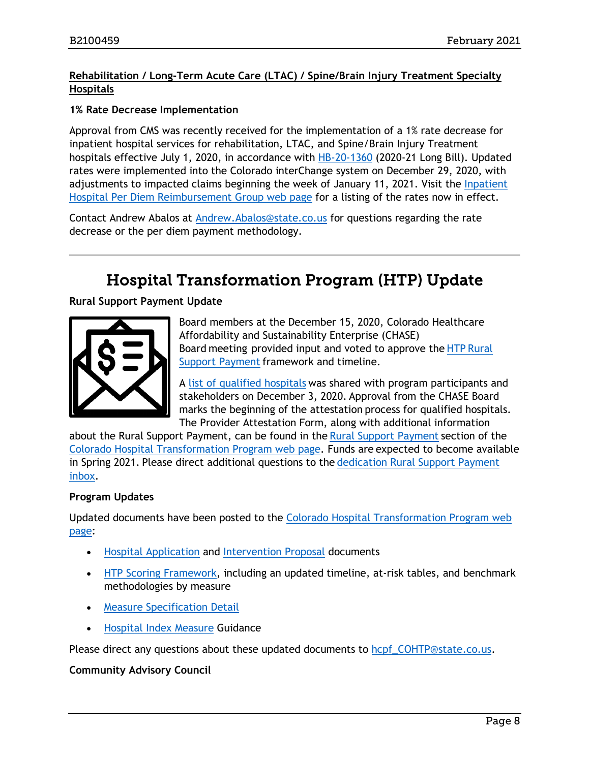#### **Rehabilitation / Long-Term Acute Care (LTAC) / Spine/Brain Injury Treatment Specialty Hospitals**

#### **1% Rate Decrease Implementation**

Approval from CMS was recently received for the implementation of a 1% rate decrease for inpatient hospital services for rehabilitation, LTAC, and Spine/Brain Injury Treatment hospitals effective July 1, 2020, in accordance with [HB-20-1360](http://leg.colorado.gov/bills/hb20-1360) (2020-21 Long Bill). Updated rates were implemented into the Colorado interChange system on December 29, 2020, with adjustments to impacted claims beginning the week of January 11, 2021. Visit the *Inpatient* [Hospital Per Diem Reimbursement Group web page](https://www.colorado.gov/pacific/hcpf/inpatient-hospital-diem-reimbursement-group) for a listing of the rates now in effect.

Contact Andrew Abalos at [Andrew.Abalos@state.co.us](mailto:Andrew.Abalos@state.co.us) for questions regarding the rate decrease or the per diem payment methodology.

### Hospital Transformation Program (HTP) Update

<span id="page-7-0"></span>**Rural Support Payment Update**



Board members at the December 15, 2020, Colorado Healthcare Affordability and Sustainability Enterprise (CHASE) Board meeting  provided input and voted to approve the HTP [Rural](https://www.colorado.gov/pacific/hcpf/htp-rural-support-fund)  [Support Payment](https://www.colorado.gov/pacific/hcpf/htp-rural-support-fund) framework and timeline.

A [list of qualified hospitals](https://conta.cc/2KXet0M) was shared with program participants and stakeholders on December 3, 2020. Approval from the CHASE Board marks the beginning of the attestation process for qualified hospitals. The Provider Attestation Form, along with additional information

about the Rural Support Payment, can be found in the [Rural Support Payment](https://www.colorado.gov/pacific/hcpf/htp-rural-support-fund) section of the [Colorado Hospital Transformation Program web page.](https://www.colorado.gov/pacific/hcpf/colorado-hospital-transformation-program) Funds are expected to become available in Spring 2021. Please direct additional questions to the [dedication Rural Support Payment](mailto:HCPF_RSF@state.co.us)  [inbox.](mailto:HCPF_RSF@state.co.us)

#### **Program Updates**

Updated documents have been posted to the Colorado [Hospital Transformation Program web](https://www.colorado.gov/pacific/hcpf/colorado-hospital-transformation-program)  [page:](https://www.colorado.gov/pacific/hcpf/colorado-hospital-transformation-program)

- Hospital [Application](https://www.colorado.gov/pacific/sites/default/files/2020%20December%20HTP%20Hospital%20Application.docx) and [Intervention](https://www.colorado.gov/pacific/sites/default/files/2020%20December%20HTP%20Intervention%20Proposal.docx) Proposal documents
- HTP [Scoring Framework,](https://www.colorado.gov/pacific/sites/default/files/2021%20January%20HTP%20Scoring%20Framework.pdf) including an updated timeline, at-risk tables, and benchmark methodologies by measure
- [Measure Specification](https://www.colorado.gov/pacific/sites/default/files/2021%20January%20HTP%20Measure%20Specification%20Details.pdf) Detail
- [Hospital Index Measure](https://www.colorado.gov/pacific/sites/default/files/2020%20December%20Hospital%20Index%20Measure%20Milestone%20Reporting.pdf) Guidance

Please direct any questions about these updated documents to [hcpf\\_COHTP@state.co.us.](mailto:hcpf_COHTP@state.co.us)

**Community Advisory Council**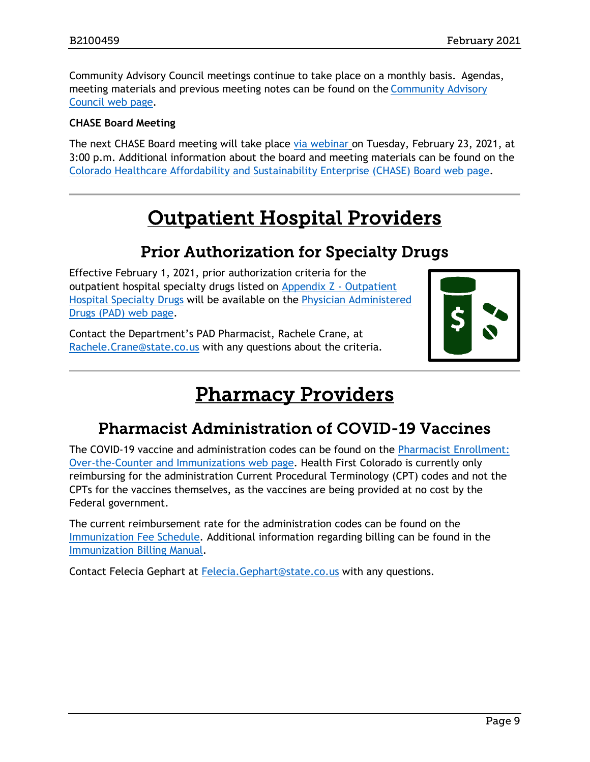Community Advisory Council meetings continue to take place on a monthly basis. Agendas, meeting materials and previous meeting notes can be found on the [Community Advisory](https://www.colorado.gov/hcpf/HTP-Community-Advisory-Council)  [Council web page.](https://www.colorado.gov/hcpf/HTP-Community-Advisory-Council)

#### **CHASE Board Meeting**

The next CHASE Board meeting will take place [via webinar](https://cohcpf.adobeconnect.com/chase/) on Tuesday, February 23, 2021, at 3:00 p.m. Additional information about the board and meeting materials can be found on the [Colorado Healthcare Affordability and Sustainability Enterprise \(CHASE\) Board web page.](https://www.colorado.gov/pacific/hcpf/colorado-healthcare-affordability-and-sustainability-enterprise-chase-board)

## Outpatient Hospital Providers

### Prior Authorization for Specialty Drugs

<span id="page-8-2"></span><span id="page-8-0"></span>Effective February 1, 2021, prior authorization criteria for the outpatient hospital specialty drugs listed on [Appendix Z -](https://www.colorado.gov/hcpf/billing-manuals#Appendices) Outpatient [Hospital Specialty Drugs](https://www.colorado.gov/hcpf/billing-manuals#Appendices) will be available on the [Physician Administered](https://www.colorado.gov/hcpf/physician-administered-drugs)  [Drugs \(PAD\) web page.](https://www.colorado.gov/hcpf/physician-administered-drugs)

Contact the Department's PAD Pharmacist, Rachele Crane, at [Rachele.Crane@state.co.us](mailto:Rachele.Crane@state.co.us) with any questions about the criteria.



## Pharmacy Providers

### <span id="page-8-3"></span>Pharmacist Administration of COVID-19 Vaccines

<span id="page-8-1"></span>The COVID-19 vaccine and administration codes can be found on the [Pharmacist Enrollment:](https://www.colorado.gov/hcpf/otc-immunizations)  [Over-the-Counter and Immunizations web page.](https://www.colorado.gov/hcpf/otc-immunizations) Health First Colorado is currently only reimbursing for the administration Current Procedural Terminology (CPT) codes and not the CPTs for the vaccines themselves, as the vaccines are being provided at no cost by the Federal government.

The current reimbursement rate for the administration codes can be found on the [Immunization Fee Schedule.](https://www.colorado.gov/pacific/hcpf/provider-rates-fee-schedule#immunization) Additional information regarding billing can be found in the [Immunization Billing Manual.](https://www.colorado.gov/pacific/hcpf/immunizations-billing-manual#billInfo)

Contact Felecia Gephart at [Felecia.Gephart@state.co.us](mailto:Felecia.Gephart@state.co.us) with any questions.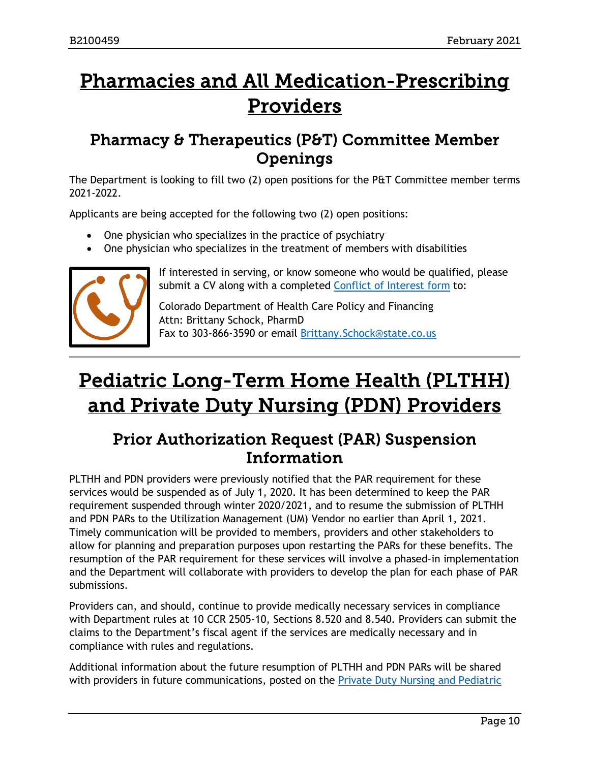# <span id="page-9-2"></span>Pharmacies and All Medication-Prescribing Providers

### <span id="page-9-0"></span>Pharmacy & Therapeutics (P&T) Committee Member Openings

The Department is looking to fill two (2) open positions for the P&T Committee member terms 2021-2022.

Applicants are being accepted for the following two (2) open positions:

- One physician who specializes in the practice of psychiatry
- One physician who specializes in the treatment of members with disabilities



If interested in serving, or know someone who would be qualified, please submit a CV along with a completed [Conflict of Interest form](https://www.colorado.gov/pacific/sites/default/files/PT%20Conflict%20of%20interest%20form%20Sept19.pdf) to:

Colorado Department of Health Care Policy and Financing Attn: Brittany Schock, PharmD Fax to 303-866-3590 or email [Brittany.Schock@state.co.us](mailto:Brittany.Schock@state.co.us)

# <span id="page-9-3"></span>Pediatric Long-Term Home Health (PLTHH) and Private Duty Nursing (PDN) Providers

### <span id="page-9-1"></span>Prior Authorization Request (PAR) Suspension Information

PLTHH and PDN providers were previously notified that the PAR requirement for these services would be suspended as of July 1, 2020. It has been determined to keep the PAR requirement suspended through winter 2020/2021, and to resume the submission of PLTHH and PDN PARs to the Utilization Management (UM) Vendor no earlier than April 1, 2021. Timely communication will be provided to members, providers and other stakeholders to allow for planning and preparation purposes upon restarting the PARs for these benefits. The resumption of the PAR requirement for these services will involve a phased-in implementation and the Department will collaborate with providers to develop the plan for each phase of PAR submissions.

Providers can, and should, continue to provide medically necessary services in compliance with Department rules at 10 CCR 2505-10, Sections 8.520 and 8.540. Providers can submit the claims to the Department's fiscal agent if the services are medically necessary and in compliance with rules and regulations.

Additional information about the future resumption of PLTHH and PDN PARs will be shared with providers in future communications, posted on the Private Duty Nursing and Pediatric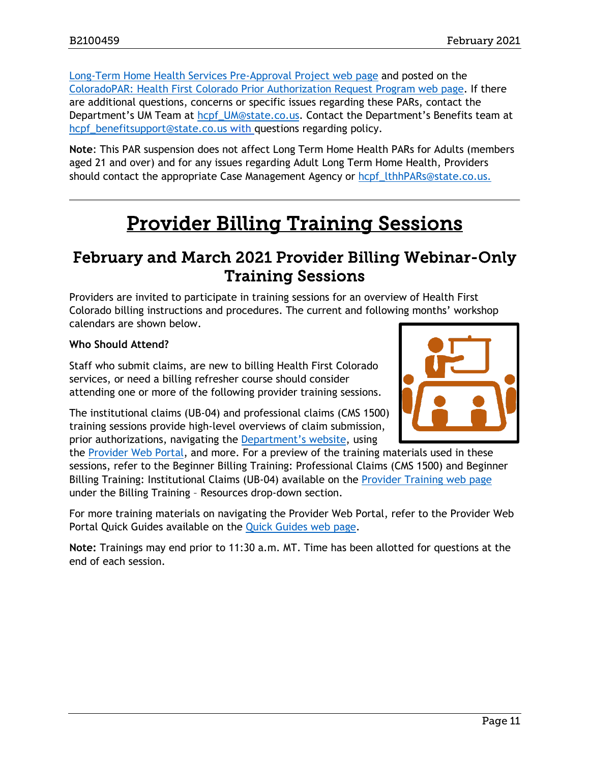[Long-Term Home Health Services Pre-Approval Project web page](https://www.colorado.gov/pacific/hcpf/private-duty-nursing-and-pediatric-long-term-home-health-services-pre-approval-project) and posted on the [ColoradoPAR: Health First Colorado Prior Authorization Request Program web page.](https://www.colorado.gov/pacific/hcpf/par) If there are additional questions, concerns or specific issues regarding these PARs, contact the Department's UM Team at [hcpf\\_UM@state.co.us.](mailto:hcpf_UM@state.co.us) Contact the Department's Benefits team at hcpf benefitsupport@state.co.us with questions regarding policy.

**Note**: This PAR suspension does not affect Long Term Home Health PARs for Adults (members aged 21 and over) and for any issues regarding Adult Long Term Home Health, Providers should contact the appropriate Case Management Agency or hcpf lthhPARs@state.co.us.

## Provider Billing Training Sessions

### <span id="page-10-1"></span><span id="page-10-0"></span>February and March 2021 Provider Billing Webinar-Only Training Sessions

Providers are invited to participate in training sessions for an overview of Health First Colorado billing instructions and procedures. The current and following months' workshop calendars are shown below.

#### **Who Should Attend?**

Staff who submit claims, are new to billing Health First Colorado services, or need a billing refresher course should consider attending one or more of the following provider training sessions.

The institutional claims (UB-04) and professional claims (CMS 1500) training sessions provide high-level overviews of claim submission, prior authorizations, navigating the [Department's website,](https://www.colorado.gov/hcpf/) using

the [Provider Web Portal,](https://colorado-hcp-portal.xco.dcs-usps.com/hcp/provider/Home/tabid/135/Default.aspx) and more. For a preview of the training materials used in these sessions, refer to the Beginner Billing Training: Professional Claims (CMS 1500) and Beginner Billing Training: Institutional Claims (UB-04) available on the [Provider Training web page](https://www.colorado.gov/pacific/hcpf/provider-training) under the Billing Training – Resources drop-down section.

For more training materials on navigating the Provider Web Portal, refer to the Provider Web Portal Quick Guides available on the [Quick Guides web page.](https://www.colorado.gov/hcpf/interchange-resources)

**Note:** Trainings may end prior to 11:30 a.m. MT. Time has been allotted for questions at the end of each session.

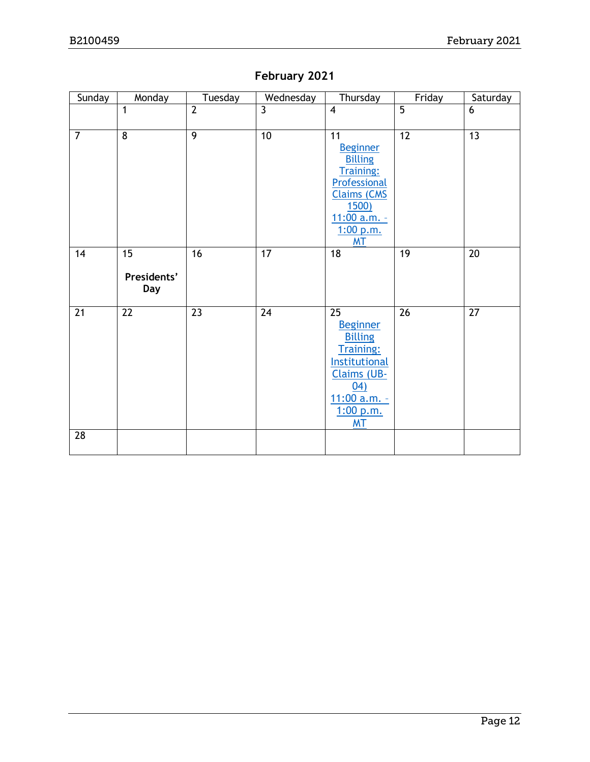### **February 2021**

| Sunday         | Monday                   | Tuesday        | Wednesday       | Thursday                                                                                                                                                    | Friday         | Saturday        |
|----------------|--------------------------|----------------|-----------------|-------------------------------------------------------------------------------------------------------------------------------------------------------------|----------------|-----------------|
|                | 1                        | $\overline{2}$ | $\overline{3}$  | $\overline{\mathbf{4}}$                                                                                                                                     | $\overline{5}$ | 6               |
| $\overline{7}$ | $\overline{8}$           | $\overline{9}$ | $\overline{10}$ | 11<br><b>Beginner</b><br><b>Billing</b><br><b>Training:</b><br>Professional<br><b>Claims (CMS</b><br><b>1500)</b><br>11:00 a.m. -<br>1:00 p.m.<br><b>MT</b> | 12             | $\overline{13}$ |
| 14             | 15<br>Presidents'<br>Day | 16             | 17              | 18                                                                                                                                                          | 19             | 20              |
| 21             | 22                       | 23             | $\overline{24}$ | 25<br><b>Beginner</b><br><b>Billing</b><br><b>Training:</b><br>Institutional<br>Claims (UB-<br>(04)<br>11:00 a.m. -<br>1:00 p.m.<br><b>MT</b>               | 26             | 27              |
| 28             |                          |                |                 |                                                                                                                                                             |                |                 |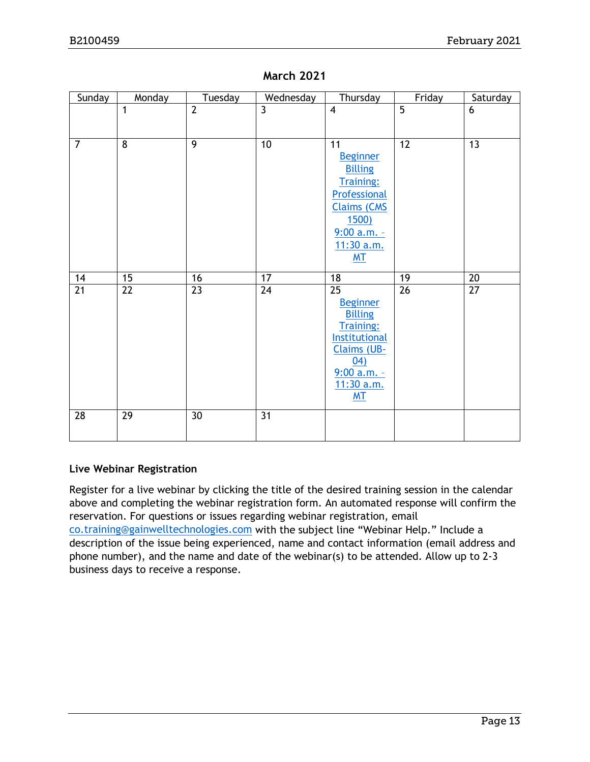| Sunday          | Monday          | Tuesday         | Wednesday       | Thursday                          | Friday          | Saturday        |
|-----------------|-----------------|-----------------|-----------------|-----------------------------------|-----------------|-----------------|
|                 | 1               | $\overline{2}$  | $\overline{3}$  | $\overline{4}$                    | $\overline{5}$  | 6               |
|                 |                 |                 |                 |                                   |                 |                 |
| $\overline{7}$  | 8               | $\overline{9}$  | 10              | 11                                | $\overline{12}$ | 13              |
|                 |                 |                 |                 | <b>Beginner</b><br><b>Billing</b> |                 |                 |
|                 |                 |                 |                 | <b>Training:</b>                  |                 |                 |
|                 |                 |                 |                 | Professional                      |                 |                 |
|                 |                 |                 |                 | <b>Claims (CMS</b>                |                 |                 |
|                 |                 |                 |                 | <u>1500)</u><br>$9:00$ a.m. -     |                 |                 |
|                 |                 |                 |                 | 11:30 a.m.                        |                 |                 |
|                 |                 |                 |                 | MT                                |                 |                 |
| 14              | $\overline{15}$ | 16              | 17              | 18                                | $\overline{19}$ | 20              |
| $\overline{21}$ | $\overline{22}$ | $\overline{23}$ | $\overline{24}$ | $\overline{25}$                   | $\overline{26}$ | $\overline{27}$ |
|                 |                 |                 |                 | <b>Beginner</b><br><b>Billing</b> |                 |                 |
|                 |                 |                 |                 | <b>Training:</b>                  |                 |                 |
|                 |                 |                 |                 | Institutional                     |                 |                 |
|                 |                 |                 |                 | <b>Claims (UB-</b><br>(04)        |                 |                 |
|                 |                 |                 |                 | 9:00 a.m. -                       |                 |                 |
|                 |                 |                 |                 | 11:30 a.m.                        |                 |                 |
|                 |                 |                 |                 | M <sub>T</sub>                    |                 |                 |
| 28              | 29              | 30              | 31              |                                   |                 |                 |
|                 |                 |                 |                 |                                   |                 |                 |

#### **March 2021**

#### **Live Webinar Registration**

Register for a live webinar by clicking the title of the desired training session in the calendar above and completing the webinar registration form. An automated response will confirm the reservation. For questions or issues regarding webinar registration, email [co.training@gainwelltechnologies.com](mailto:co.training@gainwelltechnologies.com) with the subject line "Webinar Help." Include a description of the issue being experienced, name and contact information (email address and phone number), and the name and date of the webinar(s) to be attended. Allow up to 2-3 business days to receive a response.